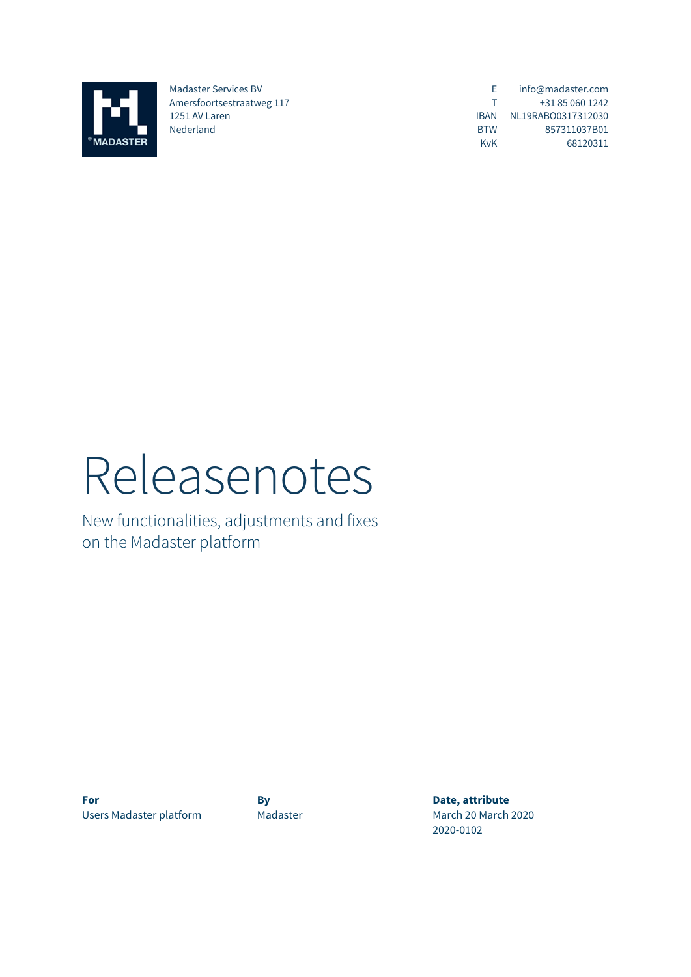

Madaster Services BV Amersfoortsestraatweg 117 1251 AV Laren Nederland

E T IBAN NL19RABO0317312030 BTW KvK info@madaster.com +31 85 060 1242 857311037B01 68120311

# Releasenotes

New functionalities, adjustments and fixes on the Madaster platform

**For By By Date, attribute** Users Madaster platform Madaster Madaster March 20 March 2020

2020-0102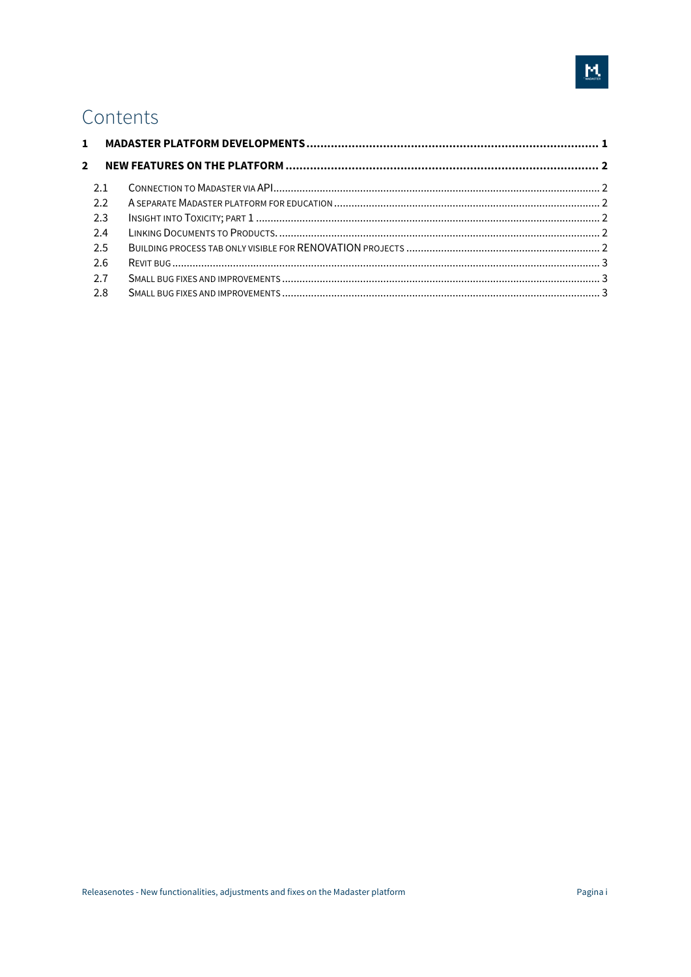# Contents

| $\mathbf{1}$ |     |  |
|--------------|-----|--|
| 2            |     |  |
|              | 2.1 |  |
|              | 2.2 |  |
|              | 2.3 |  |
|              | 2.4 |  |
|              | 2.5 |  |
|              | 2.6 |  |
|              | 2.7 |  |
|              | 2.8 |  |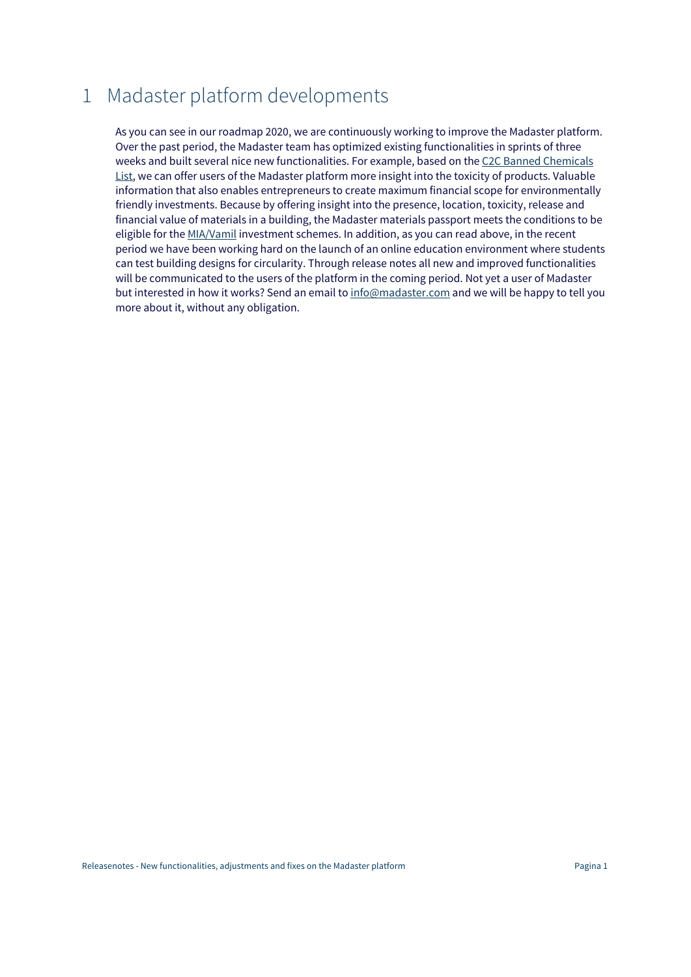# 1 Madaster platform developments

As you can see in our roadmap 2020, we are continuously working to improve the Madaster platform. Over the past period, the Madaster team has optimized existing functionalities in sprints of three weeks and built several nice new functionalities. For example, based on the C2C Banned Chemicals List, we can offer users of the Madaster platform more insight into the toxicity of products. Valuable information that also enables entrepreneurs to create maximum financial scope for environmentally friendly investments. Because by offering insight into the presence, location, toxicity, release and financial value of materials in a building, the Madaster materials passport meets the conditions to be eligible for the MIA/Vamil investment schemes. In addition, as you can read above, in the recent period we have been working hard on the launch of an online education environment where students can test building designs for circularity. Through release notes all new and improved functionalities will be communicated to the users of the platform in the coming period. Not yet a user of Madaster but interested in how it works? Send an email to info@madaster.com and we will be happy to tell you more about it, without any obligation.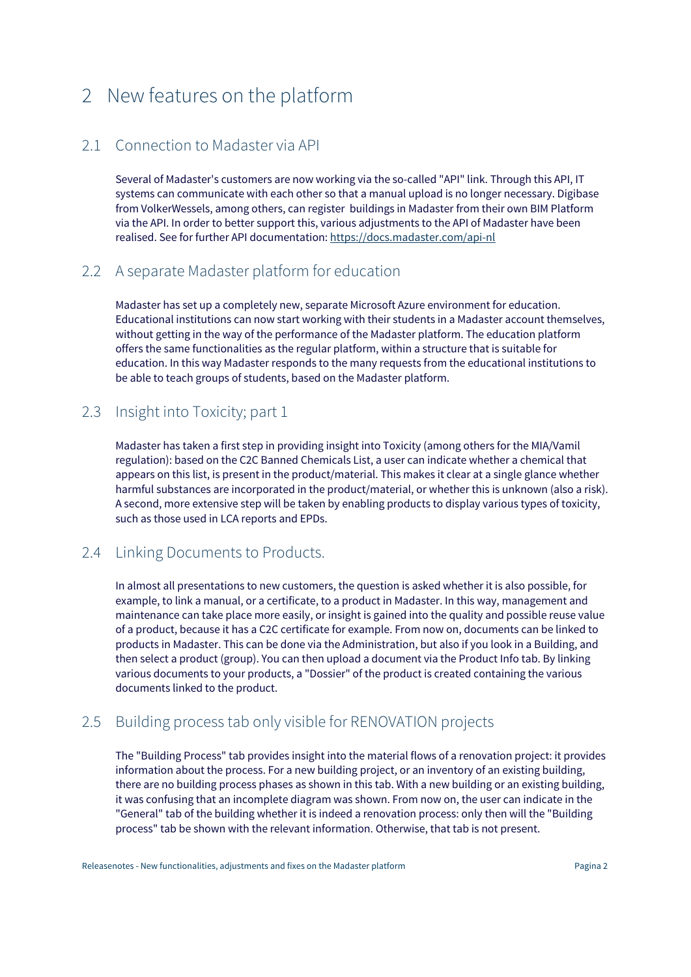# 2 New features on the platform

## 2.1 Connection to Madaster via API

Several of Madaster's customers are now working via the so-called "API" link. Through this API, IT systems can communicate with each other so that a manual upload is no longer necessary. Digibase from VolkerWessels, among others, can register buildings in Madaster from their own BIM Platform via the API. In order to better support this, various adjustments to the API of Madaster have been realised. See for further API documentation: https://docs.madaster.com/api-nl

#### 2.2 A separate Madaster platform for education

Madaster has set up a completely new, separate Microsoft Azure environment for education. Educational institutions can now start working with their students in a Madaster account themselves, without getting in the way of the performance of the Madaster platform. The education platform offers the same functionalities as the regular platform, within a structure that is suitable for education. In this way Madaster responds to the many requests from the educational institutions to be able to teach groups of students, based on the Madaster platform.

## 2.3 Insight into Toxicity; part 1

Madaster has taken a first step in providing insight into Toxicity (among others for the MIA/Vamil regulation): based on the C2C Banned Chemicals List, a user can indicate whether a chemical that appears on this list, is present in the product/material. This makes it clear at a single glance whether harmful substances are incorporated in the product/material, or whether this is unknown (also a risk). A second, more extensive step will be taken by enabling products to display various types of toxicity, such as those used in LCA reports and EPDs.

#### 2.4 Linking Documents to Products.

In almost all presentations to new customers, the question is asked whether it is also possible, for example, to link a manual, or a certificate, to a product in Madaster. In this way, management and maintenance can take place more easily, or insight is gained into the quality and possible reuse value of a product, because it has a C2C certificate for example. From now on, documents can be linked to products in Madaster. This can be done via the Administration, but also if you look in a Building, and then select a product (group). You can then upload a document via the Product Info tab. By linking various documents to your products, a "Dossier" of the product is created containing the various documents linked to the product.

## 2.5 Building process tab only visible for RENOVATION projects

The "Building Process" tab provides insight into the material flows of a renovation project: it provides information about the process. For a new building project, or an inventory of an existing building, there are no building process phases as shown in this tab. With a new building or an existing building, it was confusing that an incomplete diagram was shown. From now on, the user can indicate in the "General" tab of the building whether it is indeed a renovation process: only then will the "Building process" tab be shown with the relevant information. Otherwise, that tab is not present.